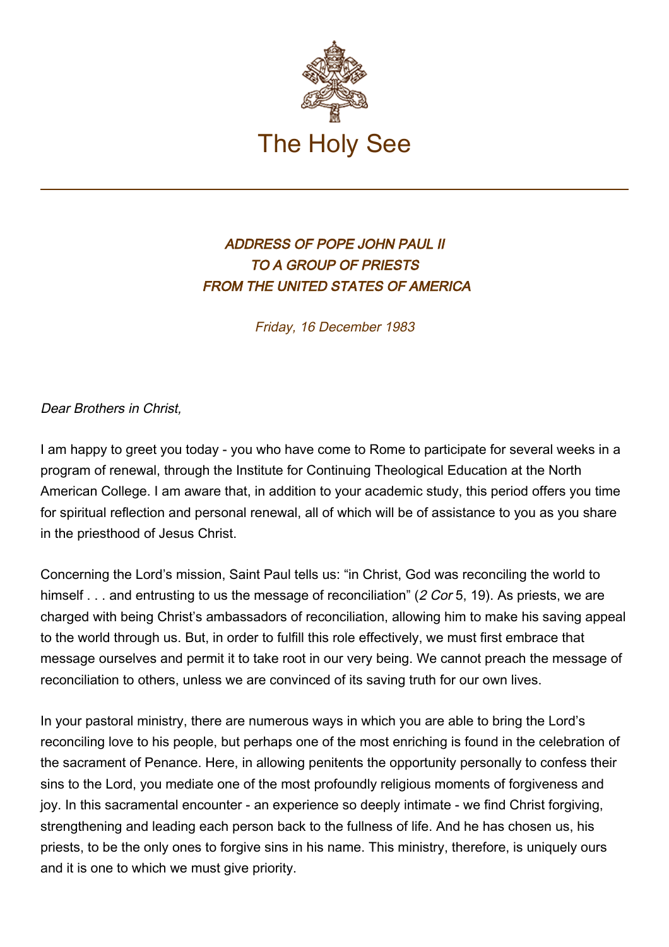

## ADDRESS OF POPE JOHN PAUL II TO A GROUP OF PRIESTS FROM THE UNITED STATES OF AMERICA

Friday, 16 December 1983

Dear Brothers in Christ,

I am happy to greet you today - you who have come to Rome to participate for several weeks in a program of renewal, through the Institute for Continuing Theological Education at the North American College. I am aware that, in addition to your academic study, this period offers you time for spiritual reflection and personal renewal, all of which will be of assistance to you as you share in the priesthood of Jesus Christ.

Concerning the Lord's mission, Saint Paul tells us: "in Christ, God was reconciling the world to himself . . . and entrusting to us the message of reconciliation" (2 Cor 5, 19). As priests, we are charged with being Christ's ambassadors of reconciliation, allowing him to make his saving appeal to the world through us. But, in order to fulfill this role effectively, we must first embrace that message ourselves and permit it to take root in our very being. We cannot preach the message of reconciliation to others, unless we are convinced of its saving truth for our own lives.

In your pastoral ministry, there are numerous ways in which you are able to bring the Lord's reconciling love to his people, but perhaps one of the most enriching is found in the celebration of the sacrament of Penance. Here, in allowing penitents the opportunity personally to confess their sins to the Lord, you mediate one of the most profoundly religious moments of forgiveness and joy. In this sacramental encounter - an experience so deeply intimate - we find Christ forgiving, strengthening and leading each person back to the fullness of life. And he has chosen us, his priests, to be the only ones to forgive sins in his name. This ministry, therefore, is uniquely ours and it is one to which we must give priority.